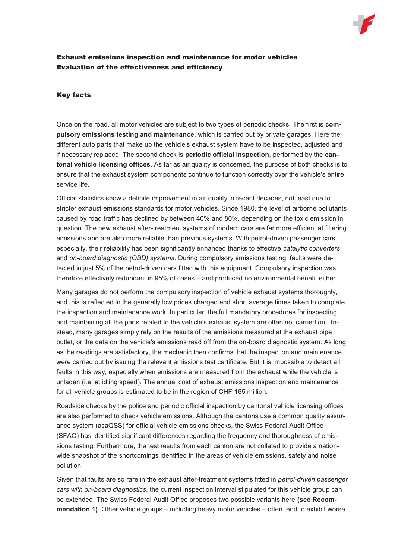

## Exhaust emissions inspection and maintenance for motor vehicles Evaluation of the effectiveness and efficiency

## Key facts

Once on the road, all motor vehicles are subject to two types of periodic checks. The first is **compulsory emissions testing and maintenance**, which is carried out by private garages. Here the different auto parts that make up the vehicle's exhaust system have to be inspected, adjusted and if necessary replaced. The second check is **periodic official inspection**, performed by the **cantonal vehicle licensing offices**. As far as air quality is concerned, the purpose of both checks is to ensure that the exhaust system components continue to function correctly over the vehicle's entire service life.

Official statistics show a definite improvement in air quality in recent decades, not least due to stricter exhaust emissions standards for motor vehicles. Since 1980, the level of airborne pollutants caused by road traffic has declined by between 40% and 80%, depending on the toxic emission in question. The new exhaust after-treatment systems of modern cars are far more efficient at filtering emissions and are also more reliable than previous systems. With petrol-driven passenger cars especially, their reliability has been significantly enhanced thanks to effective *catalytic converters*  and *on-board diagnostic (OBD) systems*. During compulsory emissions testing, faults were detected in just 5% of the petrol-driven cars fitted with this equipment. Compulsory inspection was therefore effectively redundant in 95% of cases – and produced no environmental benefit either.

Many garages do not perform the compulsory inspection of vehicle exhaust systems thoroughly, and this is reflected in the generally low prices charged and short average times taken to complete the inspection and maintenance work. In particular, the full mandatory procedures for inspecting and maintaining all the parts related to the vehicle's exhaust system are often not carried out. Instead, many garages simply rely on the results of the emissions measured at the exhaust pipe outlet, or the data on the vehicle's emissions read off from the on-board diagnostic system. As long as the readings are satisfactory, the mechanic then confirms that the inspection and maintenance were carried out by issuing the relevant emissions test certificate. But it is impossible to detect all faults in this way, especially when emissions are measured from the exhaust while the vehicle is unladen (i.e. at idling speed). The annual cost of exhaust emissions inspection and maintenance for all vehicle groups is estimated to be in the region of CHF 165 million.

Roadside checks by the police and periodic official inspection by cantonal vehicle licensing offices are also performed to check vehicle emissions. Although the cantons use a common quality assurance system (asaQSS) for official vehicle emissions checks, the Swiss Federal Audit Office (SFAO) has identified significant differences regarding the frequency and thoroughness of emissions testing. Furthermore, the test results from each canton are not collated to provide a nationwide snapshot of the shortcomings identified in the areas of vehicle emissions, safety and noise pollution.

Given that faults are so rare in the exhaust after-treatment systems fitted in *petrol-driven passenger cars with on-board diagnostics*, the current inspection interval stipulated for this vehicle group can be extended. The Swiss Federal Audit Office proposes two possible variants here **(see Recommendation 1)**. Other vehicle groups – including heavy motor vehicles – often tend to exhibit worse